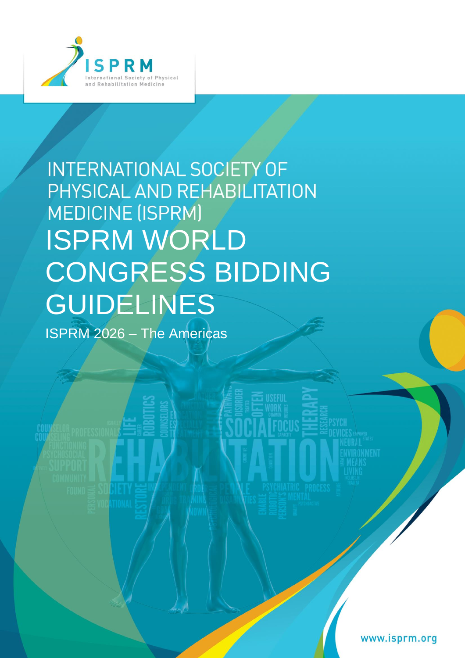

# INTERNATIONAL SOCIETY OF PHYSICAL AND REHABILITATION **MEDICINE (ISPRM)** ISPRM WORLD CONGRESS BIDDING GUIDELINES

**USEFUL** 

ISPRM 2026 – The Americas

www.isprm.org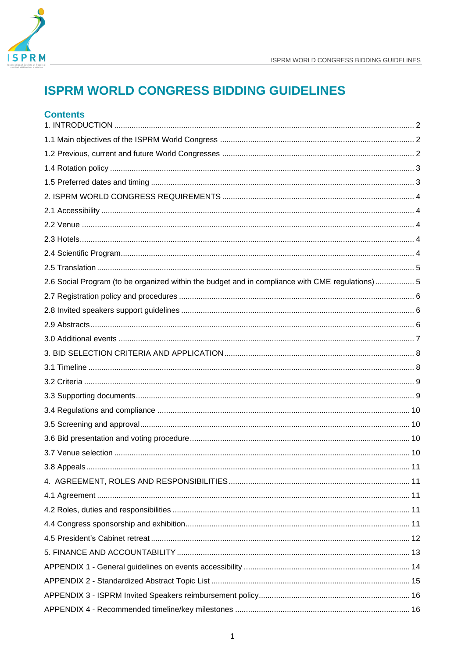

# **Contents**

| 2.6 Social Program (to be organized within the budget and in compliance with CME regulations)  5 |  |
|--------------------------------------------------------------------------------------------------|--|
|                                                                                                  |  |
|                                                                                                  |  |
|                                                                                                  |  |
|                                                                                                  |  |
|                                                                                                  |  |
|                                                                                                  |  |
|                                                                                                  |  |
|                                                                                                  |  |
|                                                                                                  |  |
|                                                                                                  |  |
|                                                                                                  |  |
|                                                                                                  |  |
| 3.8 Appeals.                                                                                     |  |
|                                                                                                  |  |
|                                                                                                  |  |
|                                                                                                  |  |
|                                                                                                  |  |
|                                                                                                  |  |
|                                                                                                  |  |
|                                                                                                  |  |
|                                                                                                  |  |
|                                                                                                  |  |
|                                                                                                  |  |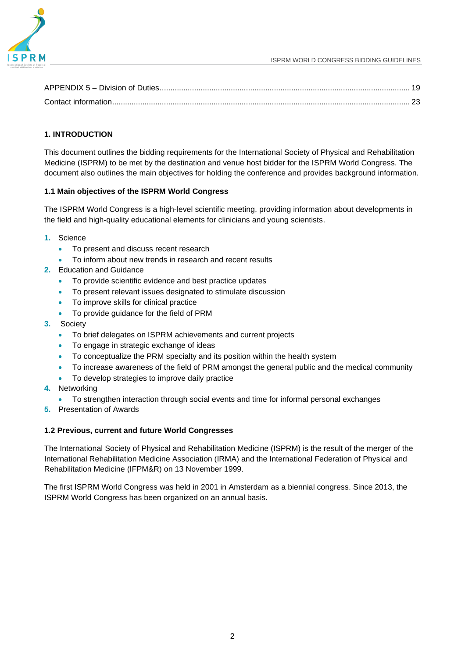

# <span id="page-2-0"></span>**1. INTRODUCTION**

This document outlines the bidding requirements for the International Society of Physical and Rehabilitation Medicine (ISPRM) to be met by the destination and venue host bidder for the ISPRM World Congress. The document also outlines the main objectives for holding the conference and provides background information.

# <span id="page-2-1"></span>**1.1 Main objectives of the ISPRM World Congress**

The ISPRM World Congress is a high-level scientific meeting, providing information about developments in the field and high-quality educational elements for clinicians and young scientists.

- **1.** Science
	- To present and discuss recent research
	- To inform about new trends in research and recent results
- **2.** Education and Guidance
	- To provide scientific evidence and best practice updates
	- To present relevant issues designated to stimulate discussion
	- To improve skills for clinical practice
	- To provide guidance for the field of PRM
- **3.** Society
	- To brief delegates on ISPRM achievements and current projects
	- To engage in strategic exchange of ideas
	- To conceptualize the PRM specialty and its position within the health system
	- To increase awareness of the field of PRM amongst the general public and the medical community
	- To develop strategies to improve daily practice
- **4.** Networking
	- To strengthen interaction through social events and time for informal personal exchanges
- **5.** Presentation of Awards

# <span id="page-2-2"></span>**1.2 Previous, current and future World Congresses**

The International Society of Physical and Rehabilitation Medicine (ISPRM) is the result of the merger of the International Rehabilitation Medicine Association (IRMA) and the International Federation of Physical and Rehabilitation Medicine (IFPM&R) on 13 November 1999.

The first ISPRM World Congress was held in 2001 in Amsterdam as a biennial congress. Since 2013, the ISPRM World Congress has been organized on an annual basis.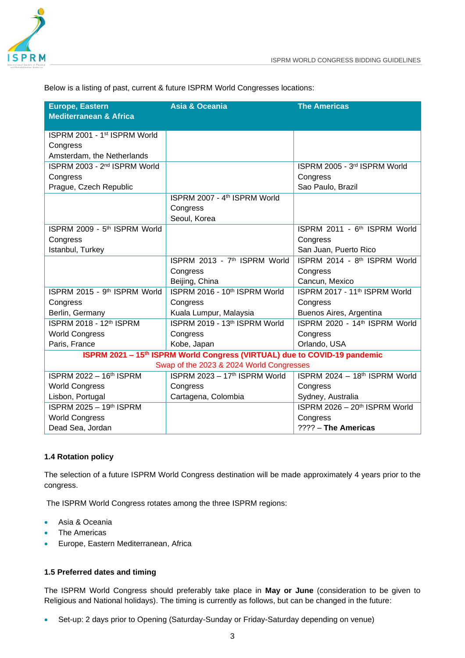

Below is a listing of past, current & future ISPRM World Congresses locations:

| <b>Europe, Eastern</b>                   | <b>Asia &amp; Oceania</b>                                                             | <b>The Americas</b>                       |
|------------------------------------------|---------------------------------------------------------------------------------------|-------------------------------------------|
| <b>Mediterranean &amp; Africa</b>        |                                                                                       |                                           |
| ISPRM 2001 - 1st ISPRM World             |                                                                                       |                                           |
| Congress                                 |                                                                                       |                                           |
| Amsterdam, the Netherlands               |                                                                                       |                                           |
| ISPRM 2003 - 2 <sup>nd</sup> ISPRM World |                                                                                       | ISPRM 2005 - 3rd ISPRM World              |
| Congress                                 |                                                                                       | Congress                                  |
| Prague, Czech Republic                   |                                                                                       | Sao Paulo, Brazil                         |
|                                          | ISPRM 2007 - 4th ISPRM World                                                          |                                           |
|                                          | Congress                                                                              |                                           |
|                                          | Seoul, Korea                                                                          |                                           |
| ISPRM 2009 - 5th ISPRM World             |                                                                                       | ISPRM 2011 - 6 <sup>th</sup> ISPRM World  |
| Congress                                 |                                                                                       | Congress                                  |
| Istanbul, Turkey                         |                                                                                       | San Juan, Puerto Rico                     |
|                                          | ISPRM 2013 - 7 <sup>th</sup> ISPRM World                                              | ISPRM 2014 - 8th ISPRM World              |
|                                          | Congress                                                                              | Congress                                  |
|                                          | Beijing, China                                                                        | Cancun, Mexico                            |
| ISPRM 2015 - 9th ISPRM World             | ISPRM 2016 - 10th ISPRM World                                                         | ISPRM 2017 - 11 <sup>th</sup> ISPRM World |
| Congress                                 | Congress                                                                              | Congress                                  |
| Berlin, Germany                          | Kuala Lumpur, Malaysia                                                                | Buenos Aires, Argentina                   |
| ISPRM 2018 - 12th ISPRM                  | ISPRM 2019 - 13th ISPRM World                                                         | ISPRM 2020 - 14th ISPRM World             |
| <b>World Congress</b>                    | Congress                                                                              | Congress                                  |
| Paris, France                            | Kobe, Japan                                                                           | Orlando, USA                              |
|                                          | ISPRM 2021 - 15 <sup>th</sup> ISPRM World Congress (VIRTUAL) due to COVID-19 pandemic |                                           |
|                                          | Swap of the 2023 & 2024 World Congresses                                              |                                           |
| ISPRM 2022 - 16th ISPRM                  | ISPRM 2023 - 17th ISPRM World                                                         | ISPRM 2024 - 18th ISPRM World             |
| <b>World Congress</b>                    | Congress                                                                              | Congress                                  |
| Lisbon, Portugal                         | Cartagena, Colombia                                                                   | Sydney, Australia                         |
| ISPRM 2025 - 19th ISPRM                  |                                                                                       | ISPRM 2026 - 20th ISPRM World             |
| <b>World Congress</b>                    |                                                                                       | Congress                                  |
| Dead Sea, Jordan                         |                                                                                       | ???? - The Americas                       |

# <span id="page-3-0"></span>**1.4 Rotation policy**

The selection of a future ISPRM World Congress destination will be made approximately 4 years prior to the congress.

The ISPRM World Congress rotates among the three ISPRM regions:

- Asia & Oceania
- **The Americas**
- Europe, Eastern Mediterranean, Africa

#### <span id="page-3-1"></span>**1.5 Preferred dates and timing**

The ISPRM World Congress should preferably take place in **May or June** (consideration to be given to Religious and National holidays). The timing is currently as follows, but can be changed in the future:

• Set-up: 2 days prior to Opening (Saturday-Sunday or Friday-Saturday depending on venue)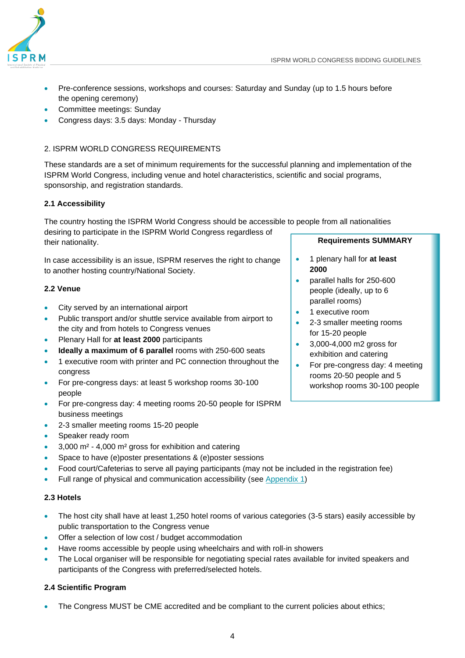

- Pre-conference sessions, workshops and courses: Saturday and Sunday (up to 1.5 hours before the opening ceremony)
- Committee meetings: Sunday
- Congress days: 3.5 days: Monday Thursday

# <span id="page-4-0"></span>2. ISPRM WORLD CONGRESS REQUIREMENTS

These standards are a set of minimum requirements for the successful planning and implementation of the ISPRM World Congress, including venue and hotel characteristics, scientific and social programs, sponsorship, and registration standards.

# <span id="page-4-1"></span>**2.1 Accessibility**

The country hosting the ISPRM World Congress should be accessible to people from all nationalities

desiring to participate in the ISPRM World Congress regardless of their nationality.

In case accessibility is an issue, ISPRM reserves the right to change to another hosting country/National Society.

# <span id="page-4-2"></span>**2.2 Venue**

- City served by an international airport
- Public transport and/or shuttle service available from airport to the city and from hotels to Congress venues
- Plenary Hall for **at least 2000** participants
- **Ideally a maximum of 6 parallel** rooms with 250-600 seats
- 1 executive room with printer and PC connection throughout the congress
- For pre-congress days: at least 5 workshop rooms 30-100 people
- For pre-congress day: 4 meeting rooms 20-50 people for ISPRM business meetings
- 2-3 smaller meeting rooms 15-20 people
- Speaker ready room
- 3,000 m² 4,000 m² gross for exhibition and catering
- Space to have (e)poster presentations & (e)poster sessions
- Food court/Cafeterias to serve all paying participants (may not be included in the registration fee)
- Full range of physical and communication accessibility (see [Appendix 1\)](#page-14-0)

# <span id="page-4-3"></span>**2.3 Hotels**

- The host city shall have at least 1,250 hotel rooms of various categories (3-5 stars) easily accessible by public transportation to the Congress venue
- Offer a selection of low cost / budget accommodation
- Have rooms accessible by people using wheelchairs and with roll-in showers
- The Local organiser will be responsible for negotiating special rates available for invited speakers and participants of the Congress with preferred/selected hotels.

# **2.4 Scientific Program**

• The Congress MUST be CME accredited and be compliant to the current policies about ethics;

#### **Requirements SUMMARY**

- 1 plenary hall for **at least 2000**
- parallel halls for 250-600 people (ideally, up to 6 parallel rooms)
- 1 executive room
- 2-3 smaller meeting rooms for 15-20 people
- 3,000-4,000 m2 gross for exhibition and catering
- For pre-congress day: 4 meeting rooms 20-50 people and 5 workshop rooms 30-100 people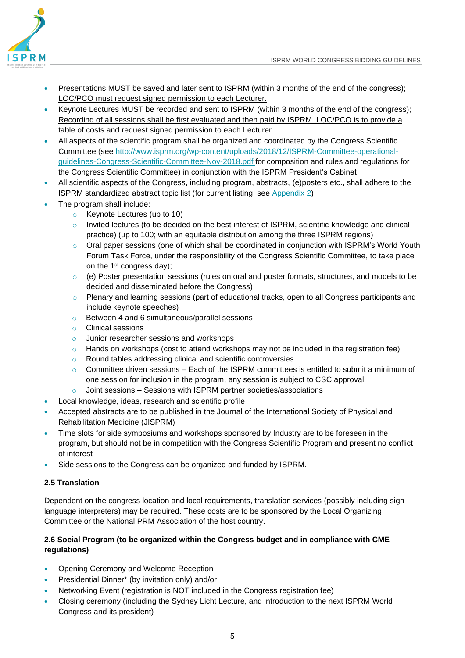

- Presentations MUST be saved and later sent to ISPRM (within 3 months of the end of the congress); LOC/PCO must request signed permission to each Lecturer.
- Keynote Lectures MUST be recorded and sent to ISPRM (within 3 months of the end of the congress); Recording of all sessions shall be first evaluated and then paid by ISPRM. LOC/PCO is to provide a table of costs and request signed permission to each Lecturer.
- All aspects of the scientific program shall be organized and coordinated by the Congress Scientific Committee (see [http://www.isprm.org/wp-content/uploads/2018/12/ISPRM-Committee-operational](http://www.isprm.org/wp-content/uploads/2018/12/ISPRM-Committee-operational-guidelines-Congress-Scientific-Committee-Nov-2018.pdf)[guidelines-Congress-Scientific-Committee-Nov-2018.pdf](http://www.isprm.org/wp-content/uploads/2018/12/ISPRM-Committee-operational-guidelines-Congress-Scientific-Committee-Nov-2018.pdf) for composition and rules and regulations for the Congress Scientific Committee) in conjunction with the ISPRM President's Cabinet
- All scientific aspects of the Congress, including program, abstracts, (e)posters etc., shall adhere to the ISPRM standardized abstract topic list (for current listing, see [Appendix 2\)](#page-15-0)
- The program shall include:
	- o Keynote Lectures (up to 10)
	- o Invited lectures (to be decided on the best interest of ISPRM, scientific knowledge and clinical practice) (up to 100; with an equitable distribution among the three ISPRM regions)
	- o Oral paper sessions (one of which shall be coordinated in conjunction with ISPRM's World Youth Forum Task Force, under the responsibility of the Congress Scientific Committee, to take place on the 1st congress day);
	- $\circ$  (e) Poster presentation sessions (rules on oral and poster formats, structures, and models to be decided and disseminated before the Congress)
	- o Plenary and learning sessions (part of educational tracks, open to all Congress participants and include keynote speeches)
	- o Between 4 and 6 simultaneous/parallel sessions
	- o Clinical sessions
	- o Junior researcher sessions and workshops
	- $\circ$  Hands on workshops (cost to attend workshops may not be included in the registration fee)
	- o Round tables addressing clinical and scientific controversies
	- $\circ$  Committee driven sessions Each of the ISPRM committees is entitled to submit a minimum of one session for inclusion in the program, any session is subject to CSC approval
	- o Joint sessions Sessions with ISPRM partner societies/associations
- Local knowledge, ideas, research and scientific profile
- Accepted abstracts are to be published in the Journal of the International Society of Physical and Rehabilitation Medicine (JISPRM)
- Time slots for side symposiums and workshops sponsored by Industry are to be foreseen in the program, but should not be in competition with the Congress Scientific Program and present no conflict of interest
- Side sessions to the Congress can be organized and funded by ISPRM.

# <span id="page-5-0"></span>**2.5 Translation**

Dependent on the congress location and local requirements, translation services (possibly including sign language interpreters) may be required. These costs are to be sponsored by the Local Organizing Committee or the National PRM Association of the host country.

# <span id="page-5-1"></span>**2.6 Social Program (to be organized within the Congress budget and in compliance with CME regulations)**

- Opening Ceremony and Welcome Reception
- Presidential Dinner\* (by invitation only) and/or
- Networking Event (registration is NOT included in the Congress registration fee)
- Closing ceremony (including the Sydney Licht Lecture, and introduction to the next ISPRM World Congress and its president)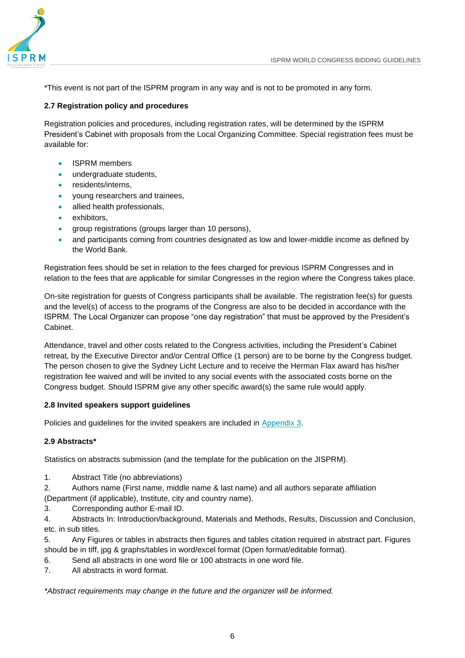

\*This event is not part of the ISPRM program in any way and is not to be promoted in any form.

# <span id="page-6-0"></span>**2.7 Registration policy and procedures**

Registration policies and procedures, including registration rates, will be determined by the ISPRM President's Cabinet with proposals from the Local Organizing Committee. Special registration fees must be available for:

- ISPRM members
- undergraduate students,
- residents/interns,
- young researchers and trainees,
- allied health professionals,
- exhibitors,
- group registrations (groups larger than 10 persons),
- and participants coming from countries designated as low and lower-middle income as defined by the World Bank.

Registration fees should be set in relation to the fees charged for previous ISPRM Congresses and in relation to the fees that are applicable for similar Congresses in the region where the Congress takes place.

On-site registration for guests of Congress participants shall be available. The registration fee(s) for guests and the level(s) of access to the programs of the Congress are also to be decided in accordance with the ISPRM. The Local Organizer can propose "one day registration" that must be approved by the President's Cabinet.

Attendance, travel and other costs related to the Congress activities, including the President's Cabinet retreat, by the Executive Director and/or Central Office (1 person) are to be borne by the Congress budget. The person chosen to give the Sydney Licht Lecture and to receive the Herman Flax award has his/her registration fee waived and will be invited to any social events with the associated costs borne on the Congress budget. Should ISPRM give any other specific award(s) the same rule would apply.

# <span id="page-6-1"></span>**2.8 Invited speakers support guidelines**

Policies and guidelines for the invited speakers are included in [Appendix 3.](#page-16-0)

# **2.9 Abstracts\***

Statistics on abstracts submission (and the template for the publication on the JISPRM).

1. Abstract Title (no abbreviations)

2. Authors name (First name, middle name & last name) and all authors separate affiliation

(Department (if applicable), Institute, city and country name).

3. Corresponding author E-mail ID.

4. Abstracts In: Introduction/background, Materials and Methods, Results, Discussion and Conclusion, etc. in sub titles.

5. Any Figures or tables in abstracts then figures and tables citation required in abstract part. Figures should be in tiff, jpg & graphs/tables in word/excel format (Open format/editable format).

- 6. Send all abstracts in one word file or 100 abstracts in one word file.
- 7. All abstracts in word format.

*\*Abstract requirements may change in the future and the organizer will be informed.*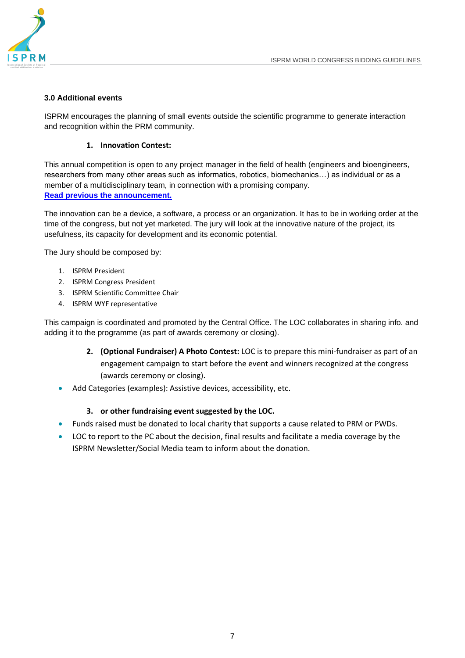

# **3.0 Additional events**

ISPRM encourages the planning of small events outside the scientific programme to generate interaction and recognition within the PRM community.

#### **1. Innovation Contest:**

This annual competition is open to any project manager in the field of health (engineers and bioengineers, researchers from many other areas such as informatics, robotics, biomechanics…) as individual or as a member of a multidisciplinary team, in connection with a promising company. **[Read previous the announcement.](https://mailchi.mp/6beacb10827a/isprm-innovation-contest-in-orlando-368913?e=%5bUNIQID%5d)**

The innovation can be a device, a software, a process or an organization. It has to be in working order at the time of the congress, but not yet marketed. The jury will look at the innovative nature of the project, its usefulness, its capacity for development and its economic potential.

The Jury should be composed by:

- 1. ISPRM President
- 2. ISPRM Congress President
- 3. ISPRM Scientific Committee Chair
- 4. ISPRM WYF representative

This campaign is coordinated and promoted by the Central Office. The LOC collaborates in sharing info. and adding it to the programme (as part of awards ceremony or closing).

- **2. (Optional Fundraiser) A Photo Contest:** LOC is to prepare this mini-fundraiser as part of an engagement campaign to start before the event and winners recognized at the congress (awards ceremony or closing).
- Add Categories (examples): Assistive devices, accessibility, etc.

#### **3. or other fundraising event suggested by the LOC.**

- Funds raised must be donated to local charity that supports a cause related to PRM or PWDs.
- LOC to report to the PC about the decision, final results and facilitate a media coverage by the ISPRM Newsletter/Social Media team to inform about the donation.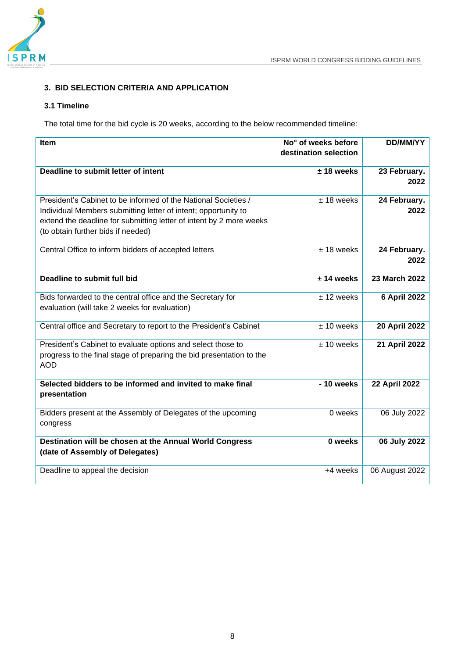

# <span id="page-8-0"></span>**3. BID SELECTION CRITERIA AND APPLICATION**

# <span id="page-8-1"></span>**3.1 Timeline**

The total time for the bid cycle is 20 weeks, according to the below recommended timeline:

<span id="page-8-2"></span>

| Item                                                                                                                                                                                                                                          | No° of weeks before<br>destination selection | <b>DD/MM/YY</b>      |
|-----------------------------------------------------------------------------------------------------------------------------------------------------------------------------------------------------------------------------------------------|----------------------------------------------|----------------------|
| Deadline to submit letter of intent                                                                                                                                                                                                           | $± 18$ weeks                                 | 23 February.         |
|                                                                                                                                                                                                                                               |                                              | 2022                 |
| President's Cabinet to be informed of the National Societies /<br>Individual Members submitting letter of intent; opportunity to<br>extend the deadline for submitting letter of intent by 2 more weeks<br>(to obtain further bids if needed) | $± 18$ weeks                                 | 24 February.<br>2022 |
| Central Office to inform bidders of accepted letters                                                                                                                                                                                          | $± 18$ weeks                                 | 24 February.<br>2022 |
| Deadline to submit full bid                                                                                                                                                                                                                   | $± 14$ weeks                                 | 23 March 2022        |
| Bids forwarded to the central office and the Secretary for<br>evaluation (will take 2 weeks for evaluation)                                                                                                                                   | $± 12$ weeks                                 | <b>6 April 2022</b>  |
| Central office and Secretary to report to the President's Cabinet                                                                                                                                                                             | $± 10$ weeks                                 | 20 April 2022        |
| President's Cabinet to evaluate options and select those to<br>progress to the final stage of preparing the bid presentation to the<br><b>AOD</b>                                                                                             | $± 10$ weeks                                 | 21 April 2022        |
| Selected bidders to be informed and invited to make final<br>presentation                                                                                                                                                                     | - 10 weeks                                   | <b>22 April 2022</b> |
| Bidders present at the Assembly of Delegates of the upcoming<br>congress                                                                                                                                                                      | 0 weeks                                      | 06 July 2022         |
| Destination will be chosen at the Annual World Congress<br>(date of Assembly of Delegates)                                                                                                                                                    | 0 weeks                                      | 06 July 2022         |
| Deadline to appeal the decision                                                                                                                                                                                                               | +4 weeks                                     | 06 August 2022       |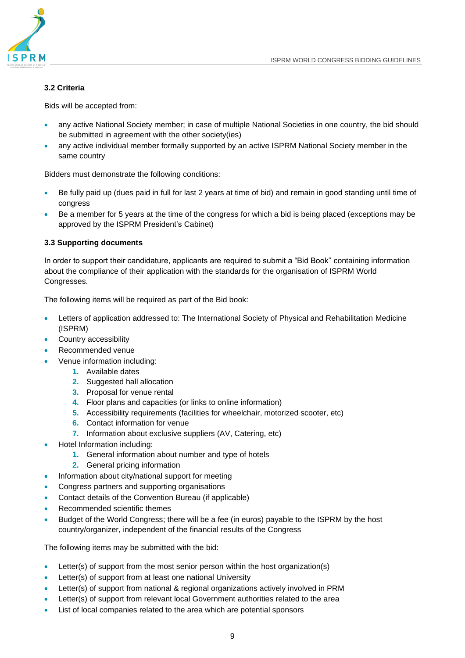#### **3.2 Criteria**

Bids will be accepted from:

- any active National Society member; in case of multiple National Societies in one country, the bid should be submitted in agreement with the other society(ies)
- any active individual member formally supported by an active ISPRM National Society member in the same country

Bidders must demonstrate the following conditions:

- Be fully paid up (dues paid in full for last 2 years at time of bid) and remain in good standing until time of congress
- Be a member for 5 years at the time of the congress for which a bid is being placed (exceptions may be approved by the ISPRM President's Cabinet)

#### <span id="page-9-0"></span>**3.3 Supporting documents**

In order to support their candidature, applicants are required to submit a "Bid Book" containing information about the compliance of their application with the standards for the organisation of ISPRM World Congresses.

The following items will be required as part of the Bid book:

- Letters of application addressed to: The International Society of Physical and Rehabilitation Medicine (ISPRM)
- Country accessibility
- Recommended venue
- Venue information including:
	- **1.** Available dates
	- **2.** Suggested hall allocation
	- **3.** Proposal for venue rental
	- **4.** Floor plans and capacities (or links to online information)
	- **5.** Accessibility requirements (facilities for wheelchair, motorized scooter, etc)
	- **6.** Contact information for venue
	- **7.** Information about exclusive suppliers (AV, Catering, etc)
- Hotel Information including:
	- **1.** General information about number and type of hotels
	- **2.** General pricing information
- Information about city/national support for meeting
- Congress partners and supporting organisations
- Contact details of the Convention Bureau (if applicable)
- Recommended scientific themes
- Budget of the World Congress; there will be a fee (in euros) payable to the ISPRM by the host country/organizer, independent of the financial results of the Congress

The following items may be submitted with the bid:

- Letter(s) of support from the most senior person within the host organization(s)
- Letter(s) of support from at least one national University
- Letter(s) of support from national & regional organizations actively involved in PRM
- Letter(s) of support from relevant local Government authorities related to the area
- List of local companies related to the area which are potential sponsors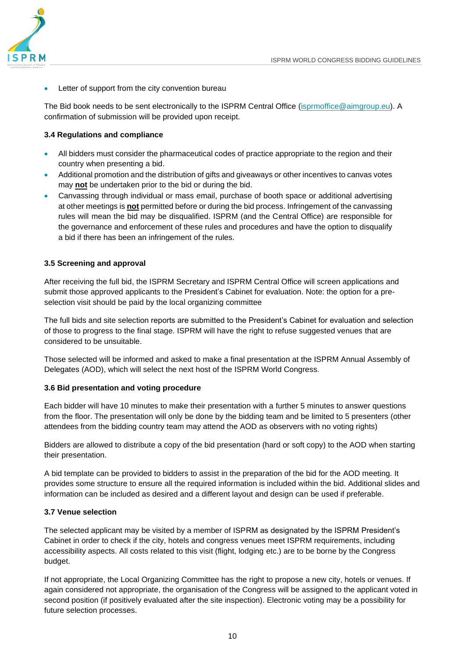

Letter of support from the city convention bureau

The Bid book needs to be sent electronically to the ISPRM Central Office [\(isprmoffice@aimgroup.eu\)](mailto:isprmoffice@aimgroup.eu). A confirmation of submission will be provided upon receipt.

# <span id="page-10-0"></span>**3.4 Regulations and compliance**

- All bidders must consider the pharmaceutical codes of practice appropriate to the region and their country when presenting a bid.
- Additional promotion and the distribution of gifts and giveaways or other incentives to canvas votes may **not** be undertaken prior to the bid or during the bid.
- Canvassing through individual or mass email, purchase of booth space or additional advertising at other meetings is **not** permitted before or during the bid process. Infringement of the canvassing rules will mean the bid may be disqualified. ISPRM (and the Central Office) are responsible for the governance and enforcement of these rules and procedures and have the option to disqualify a bid if there has been an infringement of the rules.

#### <span id="page-10-1"></span>**3.5 Screening and approval**

After receiving the full bid, the ISPRM Secretary and ISPRM Central Office will screen applications and submit those approved applicants to the President's Cabinet for evaluation. Note: the option for a preselection visit should be paid by the local organizing committee

The full bids and site selection reports are submitted to the President's Cabinet for evaluation and selection of those to progress to the final stage. ISPRM will have the right to refuse suggested venues that are considered to be unsuitable.

Those selected will be informed and asked to make a final presentation at the ISPRM Annual Assembly of Delegates (AOD), which will select the next host of the ISPRM World Congress.

#### <span id="page-10-2"></span>**3.6 Bid presentation and voting procedure**

Each bidder will have 10 minutes to make their presentation with a further 5 minutes to answer questions from the floor. The presentation will only be done by the bidding team and be limited to 5 presenters (other attendees from the bidding country team may attend the AOD as observers with no voting rights)

Bidders are allowed to distribute a copy of the bid presentation (hard or soft copy) to the AOD when starting their presentation.

A bid template can be provided to bidders to assist in the preparation of the bid for the AOD meeting. It provides some structure to ensure all the required information is included within the bid. Additional slides and information can be included as desired and a different layout and design can be used if preferable.

#### <span id="page-10-3"></span>**3.7 Venue selection**

The selected applicant may be visited by a member of ISPRM as designated by the ISPRM President's Cabinet in order to check if the city, hotels and congress venues meet ISPRM requirements, including accessibility aspects. All costs related to this visit (flight, lodging etc.) are to be borne by the Congress budget.

If not appropriate, the Local Organizing Committee has the right to propose a new city, hotels or venues. If again considered not appropriate, the organisation of the Congress will be assigned to the applicant voted in second position (if positively evaluated after the site inspection). Electronic voting may be a possibility for future selection processes.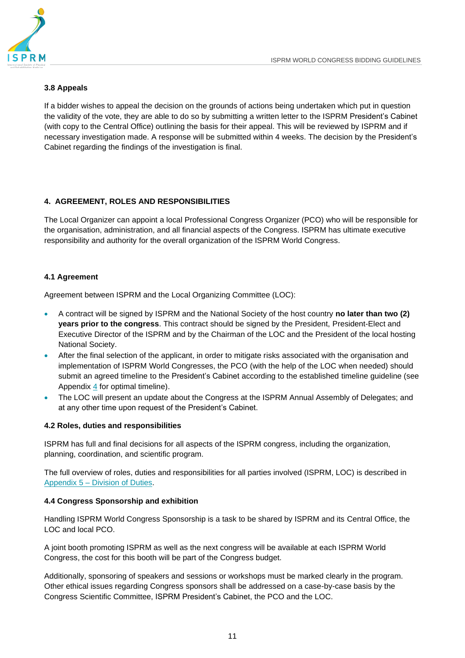# <span id="page-11-0"></span>**3.8 Appeals**

If a bidder wishes to appeal the decision on the grounds of actions being undertaken which put in question the validity of the vote, they are able to do so by submitting a written letter to the ISPRM President's Cabinet (with copy to the Central Office) outlining the basis for their appeal. This will be reviewed by ISPRM and if necessary investigation made. A response will be submitted within 4 weeks. The decision by the President's Cabinet regarding the findings of the investigation is final.

# <span id="page-11-1"></span>**4. AGREEMENT, ROLES AND RESPONSIBILITIES**

The Local Organizer can appoint a local Professional Congress Organizer (PCO) who will be responsible for the organisation, administration, and all financial aspects of the Congress. ISPRM has ultimate executive responsibility and authority for the overall organization of the ISPRM World Congress.

# <span id="page-11-2"></span>**4.1 Agreement**

Agreement between ISPRM and the Local Organizing Committee (LOC):

- A contract will be signed by ISPRM and the National Society of the host country **no later than two (2) years prior to the congress**. This contract should be signed by the President, President-Elect and Executive Director of the ISPRM and by the Chairman of the LOC and the President of the local hosting National Society.
- After the final selection of the applicant, in order to mitigate risks associated with the organisation and implementation of ISPRM World Congresses, the PCO (with the help of the LOC when needed) should submit an agreed timeline to the President's Cabinet according to the established timeline guideline (see Appendix  $\frac{4}{1}$  $\frac{4}{1}$  $\frac{4}{1}$  for optimal timeline).
- The LOC will present an update about the Congress at the ISPRM Annual Assembly of Delegates; and at any other time upon request of the President's Cabinet.

# <span id="page-11-3"></span>**4.2 Roles, duties and responsibilities**

ISPRM has full and final decisions for all aspects of the ISPRM congress, including the organization, planning, coordination, and scientific program.

The full overview of roles, duties and responsibilities for all parties involved (ISPRM, LOC) is described in Appendix 5 – [Division of Duties.](#page-18-0)

# <span id="page-11-4"></span>**4.4 Congress Sponsorship and exhibition**

Handling ISPRM World Congress Sponsorship is a task to be shared by ISPRM and its Central Office, the LOC and local PCO.

A joint booth promoting ISPRM as well as the next congress will be available at each ISPRM World Congress, the cost for this booth will be part of the Congress budget.

Additionally, sponsoring of speakers and sessions or workshops must be marked clearly in the program. Other ethical issues regarding Congress sponsors shall be addressed on a case-by-case basis by the Congress Scientific Committee, ISPRM President's Cabinet, the PCO and the LOC.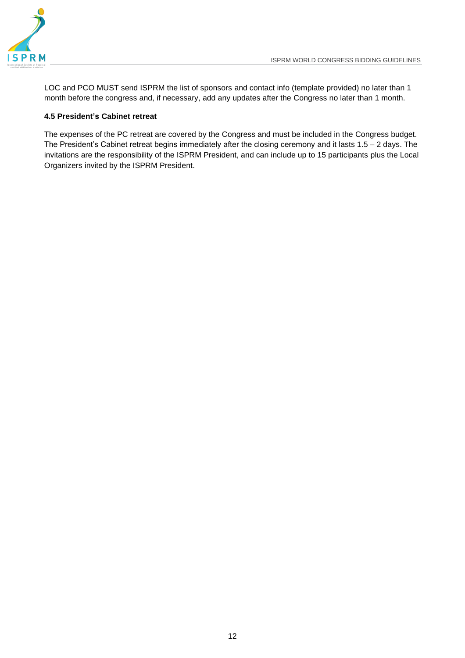

LOC and PCO MUST send ISPRM the list of sponsors and contact info (template provided) no later than 1 month before the congress and, if necessary, add any updates after the Congress no later than 1 month.

# <span id="page-12-0"></span>**4.5 President's Cabinet retreat**

The expenses of the PC retreat are covered by the Congress and must be included in the Congress budget. The President's Cabinet retreat begins immediately after the closing ceremony and it lasts 1.5 – 2 days. The invitations are the responsibility of the ISPRM President, and can include up to 15 participants plus the Local Organizers invited by the ISPRM President.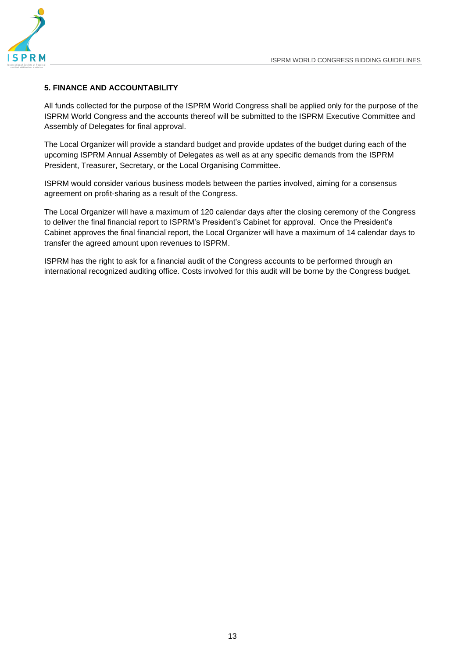

#### <span id="page-13-0"></span>**5. FINANCE AND ACCOUNTABILITY**

All funds collected for the purpose of the ISPRM World Congress shall be applied only for the purpose of the ISPRM World Congress and the accounts thereof will be submitted to the ISPRM Executive Committee and Assembly of Delegates for final approval.

The Local Organizer will provide a standard budget and provide updates of the budget during each of the upcoming ISPRM Annual Assembly of Delegates as well as at any specific demands from the ISPRM President, Treasurer, Secretary, or the Local Organising Committee.

ISPRM would consider various business models between the parties involved, aiming for a consensus agreement on profit-sharing as a result of the Congress.

The Local Organizer will have a maximum of 120 calendar days after the closing ceremony of the Congress to deliver the final financial report to ISPRM's President's Cabinet for approval. Once the President's Cabinet approves the final financial report, the Local Organizer will have a maximum of 14 calendar days to transfer the agreed amount upon revenues to ISPRM.

ISPRM has the right to ask for a financial audit of the Congress accounts to be performed through an international recognized auditing office. Costs involved for this audit will be borne by the Congress budget.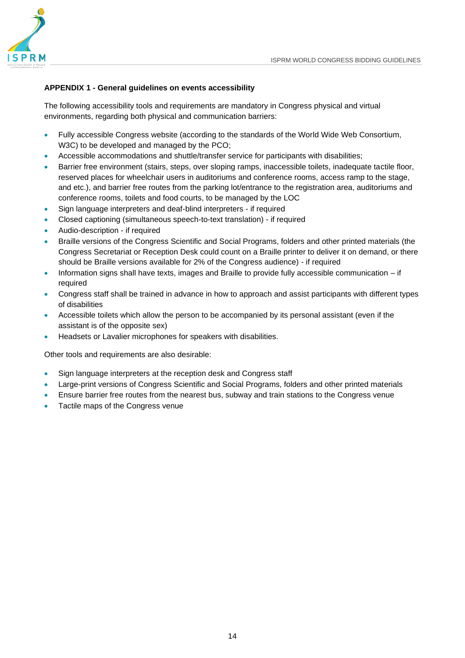

# <span id="page-14-0"></span>**APPENDIX 1 - General guidelines on events accessibility**

The following accessibility tools and requirements are mandatory in Congress physical and virtual environments, regarding both physical and communication barriers:

- Fully accessible Congress website (according to the standards of the World Wide Web Consortium, W3C) to be developed and managed by the PCO;
- Accessible accommodations and shuttle/transfer service for participants with disabilities;
- Barrier free environment (stairs, steps, over sloping ramps, inaccessible toilets, inadequate tactile floor, reserved places for wheelchair users in auditoriums and conference rooms, access ramp to the stage, and etc.), and barrier free routes from the parking lot/entrance to the registration area, auditoriums and conference rooms, toilets and food courts, to be managed by the LOC
- Sign language interpreters and deaf-blind interpreters if required
- Closed captioning (simultaneous speech-to-text translation) if required
- Audio-description if required
- Braille versions of the Congress Scientific and Social Programs, folders and other printed materials (the Congress Secretariat or Reception Desk could count on a Braille printer to deliver it on demand, or there should be Braille versions available for 2% of the Congress audience) - if required
- Information signs shall have texts, images and Braille to provide fully accessible communication if required
- Congress staff shall be trained in advance in how to approach and assist participants with different types of disabilities
- Accessible toilets which allow the person to be accompanied by its personal assistant (even if the assistant is of the opposite sex)
- Headsets or Lavalier microphones for speakers with disabilities.

Other tools and requirements are also desirable:

- Sign language interpreters at the reception desk and Congress staff
- Large-print versions of Congress Scientific and Social Programs, folders and other printed materials
- Ensure barrier free routes from the nearest bus, subway and train stations to the Congress venue
- Tactile maps of the Congress venue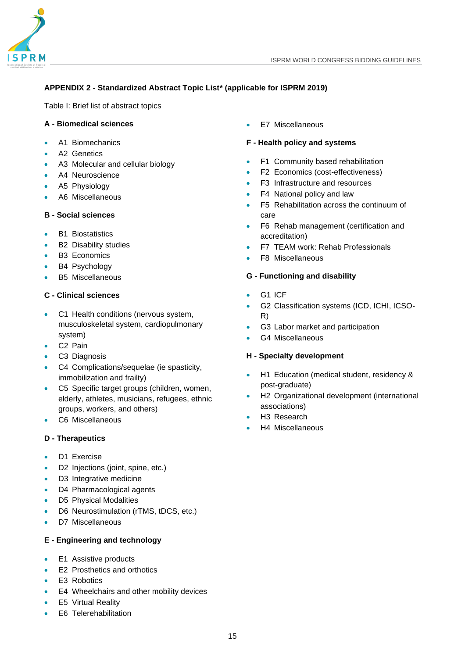

# <span id="page-15-0"></span>**APPENDIX 2 - Standardized Abstract Topic List\* (applicable for ISPRM 2019)**

Table I: Brief list of abstract topics

# **A - Biomedical sciences**

- A1 Biomechanics
- A2 Genetics
- A3 Molecular and cellular biology
- A4 Neuroscience
- A5 Physiology
- A6 Miscellaneous

#### **B - Social sciences**

- **B1 Biostatistics**
- B2 Disability studies
- B3 Economics
- B4 Psychology
- B5 Miscellaneous

# **C - Clinical sciences**

- C1 Health conditions (nervous system, musculoskeletal system, cardiopulmonary system)
- C2 Pain
- C3 Diagnosis
- C4 Complications/sequelae (ie spasticity, immobilization and frailty)
- C5 Specific target groups (children, women, elderly, athletes, musicians, refugees, ethnic groups, workers, and others)
- C6 Miscellaneous

# **D - Therapeutics**

- D1 Exercise
- D2 Injections (joint, spine, etc.)
- D3 Integrative medicine
- D4 Pharmacological agents
- D5 Physical Modalities
- D6 Neurostimulation (rTMS, tDCS, etc.)
- D7 Miscellaneous

# **E - Engineering and technology**

- E1 Assistive products
- E2 Prosthetics and orthotics
- E3 Robotics
- E4 Wheelchairs and other mobility devices
- **E5 Virtual Reality**
- E6 Telerehabilitation

E7 Miscellaneous

#### **F - Health policy and systems**

- F1 Community based rehabilitation
- F2 Economics (cost-effectiveness)
- F3 Infrastructure and resources
- F4 National policy and law
- F5 Rehabilitation across the continuum of care
- F6 Rehab management (certification and accreditation)
- F7 TEAM work: Rehab Professionals
- F8 Miscellaneous

# **G - Functioning and disability**

- G1 ICF
- G2 Classification systems (ICD, ICHI, ICSO-R)
- G3 Labor market and participation
- G4 Miscellaneous

#### **H - Specialty development**

- H1 Education (medical student, residency & post-graduate)
- H2 Organizational development (international associations)
- H<sub>3</sub> Research
- H4 Miscellaneous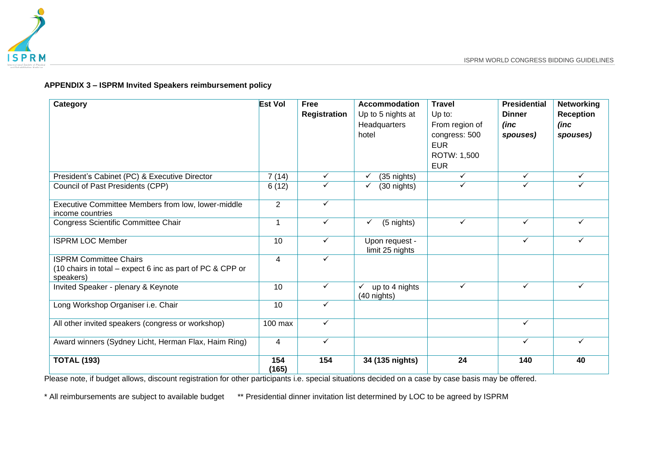

# **APPENDIX 3 – ISPRM Invited Speakers reimbursement policy**

| Category                                                                                                | <b>Est Vol</b> | <b>Free</b><br>Registration | <b>Accommodation</b><br>Up to 5 nights at<br>Headquarters<br>hotel | <b>Travel</b><br>Up to:<br>From region of<br>congress: 500<br><b>EUR</b><br>ROTW: 1,500 | <b>Presidential</b><br><b>Dinner</b><br>(inc)<br>spouses) | <b>Networking</b><br>Reception<br>(inc<br>spouses) |
|---------------------------------------------------------------------------------------------------------|----------------|-----------------------------|--------------------------------------------------------------------|-----------------------------------------------------------------------------------------|-----------------------------------------------------------|----------------------------------------------------|
|                                                                                                         |                |                             |                                                                    | <b>EUR</b><br>✓                                                                         | ✓                                                         | ✓                                                  |
| President's Cabinet (PC) & Executive Director<br>Council of Past Presidents (CPP)                       | 7(14)          | $\checkmark$<br>✓           | (35 nights)<br>✓                                                   | ✓                                                                                       |                                                           |                                                    |
|                                                                                                         | 6(12)          |                             | (30 nights)                                                        |                                                                                         |                                                           |                                                    |
| Executive Committee Members from low, lower-middle<br>income countries                                  | $\overline{2}$ | $\checkmark$                |                                                                    |                                                                                         |                                                           |                                                    |
| Congress Scientific Committee Chair                                                                     | $\mathbf{1}$   | $\checkmark$                | (5 nights)<br>✓                                                    | $\checkmark$                                                                            | $\checkmark$                                              | ✓                                                  |
| <b>ISPRM LOC Member</b>                                                                                 | 10             | $\checkmark$                | Upon request -<br>limit 25 nights                                  |                                                                                         | ✓                                                         | ✓                                                  |
| <b>ISPRM Committee Chairs</b><br>(10 chairs in total - expect 6 inc as part of PC & CPP or<br>speakers) | $\overline{4}$ | ✓                           |                                                                    |                                                                                         |                                                           |                                                    |
| Invited Speaker - plenary & Keynote                                                                     | 10             | ✓                           | up to 4 nights<br>✓<br>(40 nights)                                 | ✓                                                                                       | ✓                                                         | ✓                                                  |
| Long Workshop Organiser i.e. Chair                                                                      | 10             | $\checkmark$                |                                                                    |                                                                                         |                                                           |                                                    |
| All other invited speakers (congress or workshop)                                                       | 100 max        | ✓                           |                                                                    |                                                                                         | ✓                                                         |                                                    |
| Award winners (Sydney Licht, Herman Flax, Haim Ring)                                                    | 4              | $\checkmark$                |                                                                    |                                                                                         | $\checkmark$                                              | ✓                                                  |
| <b>TOTAL (193)</b>                                                                                      | 154<br>(165)   | 154                         | 34 (135 nights)                                                    | 24                                                                                      | 140                                                       | 40                                                 |

<span id="page-16-0"></span>Please note, if budget allows, discount registration for other participants i.e. special situations decided on a case by case basis may be offered.

\* All reimbursements are subject to available budget \*\* Presidential dinner invitation list determined by LOC to be agreed by ISPRM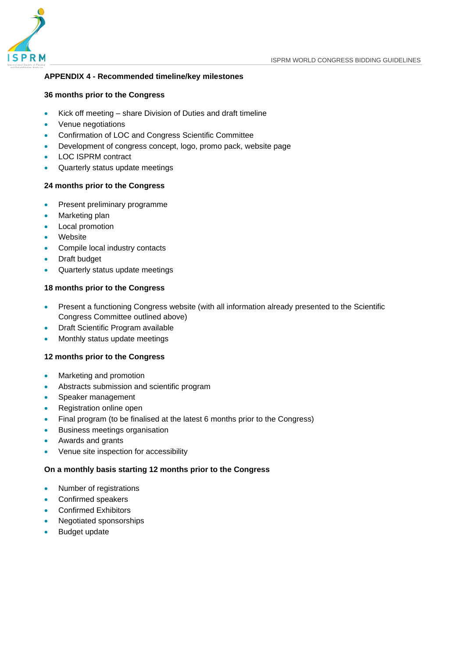

# <span id="page-17-0"></span>**APPENDIX 4 - Recommended timeline/key milestones**

#### **36 months prior to the Congress**

- Kick off meeting share Division of Duties and draft timeline
- Venue negotiations
- Confirmation of LOC and Congress Scientific Committee
- Development of congress concept, logo, promo pack, website page
- LOC ISPRM contract
- Quarterly status update meetings

#### **24 months prior to the Congress**

- Present preliminary programme
- Marketing plan
- Local promotion
- Website
- Compile local industry contacts
- Draft budget
- Quarterly status update meetings

# **18 months prior to the Congress**

- Present a functioning Congress website (with all information already presented to the Scientific Congress Committee outlined above)
- Draft Scientific Program available
- Monthly status update meetings

#### **12 months prior to the Congress**

- Marketing and promotion
- Abstracts submission and scientific program
- Speaker management
- Registration online open
- Final program (to be finalised at the latest 6 months prior to the Congress)
- Business meetings organisation
- Awards and grants
- Venue site inspection for accessibility

#### **On a monthly basis starting 12 months prior to the Congress**

- Number of registrations
- Confirmed speakers
- Confirmed Exhibitors
- Negotiated sponsorships
- Budget update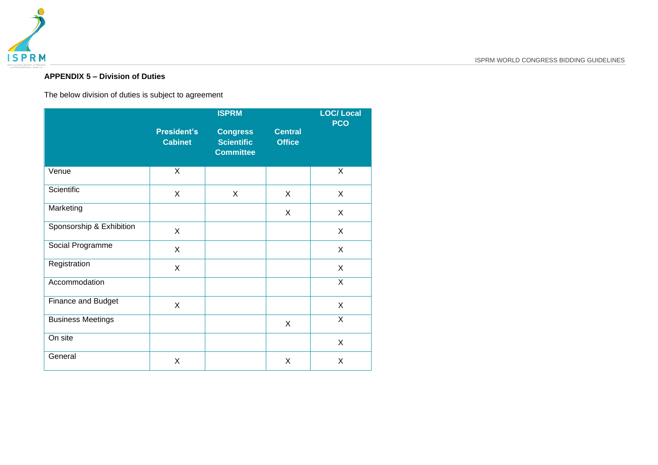

# **APPENDIX 5 – Division of Duties**

The below division of duties is subject to agreement

<span id="page-18-0"></span>

|                          |                                      | <b>LOC/Local</b><br><b>PCO</b>                           |                                 |              |
|--------------------------|--------------------------------------|----------------------------------------------------------|---------------------------------|--------------|
|                          | <b>President's</b><br><b>Cabinet</b> | <b>Congress</b><br><b>Scientific</b><br><b>Committee</b> | <b>Central</b><br><b>Office</b> |              |
| Venue                    | X                                    |                                                          |                                 | X            |
| Scientific               | X                                    | X                                                        | X                               | X            |
| Marketing                |                                      |                                                          | X                               | X            |
| Sponsorship & Exhibition | X                                    |                                                          |                                 | X            |
| Social Programme         | X                                    |                                                          |                                 | X            |
| Registration             | X                                    |                                                          |                                 | X            |
| Accommodation            |                                      |                                                          |                                 | X            |
| Finance and Budget       | X                                    |                                                          |                                 | X            |
| <b>Business Meetings</b> |                                      |                                                          | X                               | $\mathsf{X}$ |
| On site                  |                                      |                                                          |                                 | X            |
| General                  | X                                    |                                                          | X                               | X            |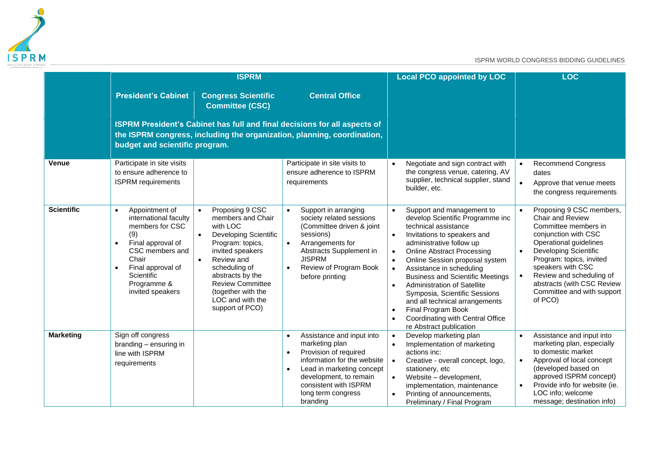

|                   |                                                                                                                                                                                                                                 | <b>ISPRM</b>                                                                                                                                                                                                                                                                                        |                                                                                                                                                                                                                                                 | <b>Local PCO appointed by LOC</b>                                                                                                                                                                                                                                                                                                                                                                                                                                                                                                                             | <b>LOC</b>                                                                                                                                                                                                                                                                                                              |  |  |
|-------------------|---------------------------------------------------------------------------------------------------------------------------------------------------------------------------------------------------------------------------------|-----------------------------------------------------------------------------------------------------------------------------------------------------------------------------------------------------------------------------------------------------------------------------------------------------|-------------------------------------------------------------------------------------------------------------------------------------------------------------------------------------------------------------------------------------------------|---------------------------------------------------------------------------------------------------------------------------------------------------------------------------------------------------------------------------------------------------------------------------------------------------------------------------------------------------------------------------------------------------------------------------------------------------------------------------------------------------------------------------------------------------------------|-------------------------------------------------------------------------------------------------------------------------------------------------------------------------------------------------------------------------------------------------------------------------------------------------------------------------|--|--|
|                   | <b>President's Cabinet</b>                                                                                                                                                                                                      | <b>Congress Scientific</b><br>Committee (CSC)                                                                                                                                                                                                                                                       | <b>Central Office</b>                                                                                                                                                                                                                           |                                                                                                                                                                                                                                                                                                                                                                                                                                                                                                                                                               |                                                                                                                                                                                                                                                                                                                         |  |  |
|                   | budget and scientific program.                                                                                                                                                                                                  |                                                                                                                                                                                                                                                                                                     | ISPRM President's Cabinet has full and final decisions for all aspects of<br>the ISPRM congress, including the organization, planning, coordination,                                                                                            |                                                                                                                                                                                                                                                                                                                                                                                                                                                                                                                                                               |                                                                                                                                                                                                                                                                                                                         |  |  |
| <b>Venue</b>      | Participate in site visits<br>to ensure adherence to<br><b>ISPRM</b> requirements                                                                                                                                               |                                                                                                                                                                                                                                                                                                     | Participate in site visits to<br>ensure adherence to ISPRM<br>requirements                                                                                                                                                                      | Negotiate and sign contract with<br>the congress venue, catering, AV<br>supplier, technical supplier, stand<br>builder, etc.                                                                                                                                                                                                                                                                                                                                                                                                                                  | <b>Recommend Congress</b><br>$\bullet$<br>dates<br>$\bullet$<br>Approve that venue meets<br>the congress requirements                                                                                                                                                                                                   |  |  |
| <b>Scientific</b> | Appointment of<br>$\bullet$<br>international faculty<br>members for CSC<br>(9)<br>Final approval of<br>$\bullet$<br>CSC members and<br>Chair<br>Final approval of<br>$\bullet$<br>Scientific<br>Programme &<br>invited speakers | Proposing 9 CSC<br>$\bullet$<br>members and Chair<br>with LOC<br>Developing Scientific<br>$\bullet$<br>Program: topics,<br>invited speakers<br>Review and<br>$\bullet$<br>scheduling of<br>abstracts by the<br><b>Review Committee</b><br>(together with the<br>LOC and with the<br>support of PCO) | Support in arranging<br>$\bullet$<br>society related sessions<br>(Committee driven & joint<br>sessions)<br>Arrangements for<br>$\bullet$<br>Abstracts Supplement in<br><b>JISPRM</b><br>Review of Program Book<br>$\bullet$<br>before printing  | Support and management to<br>$\bullet$<br>develop Scientific Programme inc<br>technical assistance<br>Invitations to speakers and<br>$\bullet$<br>administrative follow up<br><b>Online Abstract Processing</b><br>$\bullet$<br>Online Session proposal system<br>Assistance in scheduling<br>$\bullet$<br><b>Business and Scientific Meetings</b><br><b>Administration of Satellite</b><br>$\bullet$<br>Symposia, Scientific Sessions<br>and all technical arrangements<br>Final Program Book<br>Coordinating with Central Office<br>re Abstract publication | Proposing 9 CSC members,<br>Chair and Review<br>Committee members in<br>conjunction with CSC<br>Operational guidelines<br><b>Developing Scientific</b><br>$\bullet$<br>Program: topics, invited<br>speakers with CSC<br>Review and scheduling of<br>abstracts (with CSC Review<br>Committee and with support<br>of PCO) |  |  |
| <b>Marketing</b>  | Sign off congress<br>branding - ensuring in<br>line with ISPRM<br>requirements                                                                                                                                                  |                                                                                                                                                                                                                                                                                                     | Assistance and input into<br>marketing plan<br>Provision of required<br>$\bullet$<br>information for the website<br>Lead in marketing concept<br>$\bullet$<br>development, to remain<br>consistent with ISPRM<br>long term congress<br>branding | Develop marketing plan<br>Implementation of marketing<br>actions inc:<br>Creative - overall concept, logo,<br>$\bullet$<br>stationery, etc<br>Website - development,<br>$\bullet$<br>implementation, maintenance<br>Printing of announcements,<br>Preliminary / Final Program                                                                                                                                                                                                                                                                                 | Assistance and input into<br>marketing plan, especially<br>to domestic market<br>Approval of local concept<br>$\bullet$<br>(developed based on<br>approved ISPRM concept)<br>Provide info for website (ie.<br>LOC info; welcome<br>message; destination info)                                                           |  |  |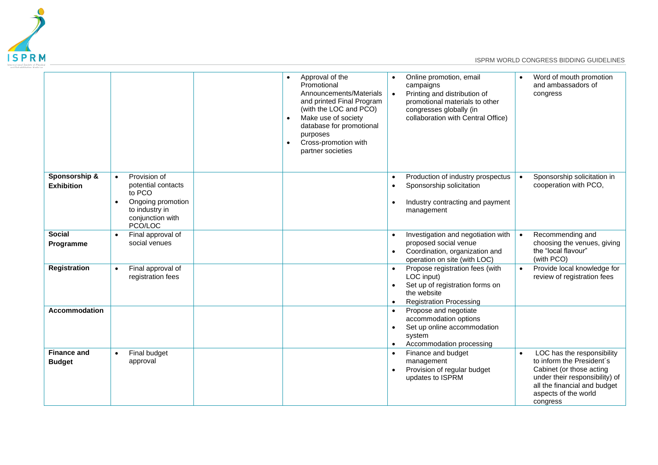

|                                     |                                                                                                                                              | $\bullet$<br>$\bullet$ | Approval of the<br>Promotional<br>Announcements/Materials<br>and printed Final Program<br>(with the LOC and PCO)<br>Make use of society<br>database for promotional<br>purposes<br>Cross-promotion with<br>partner societies |                                     | Online promotion, email<br>campaigns<br>Printing and distribution of<br>promotional materials to other<br>congresses globally (in<br>collaboration with Central Office) | Word of mouth promotion<br>and ambassadors of<br>congress                                                                                                                                 |
|-------------------------------------|----------------------------------------------------------------------------------------------------------------------------------------------|------------------------|------------------------------------------------------------------------------------------------------------------------------------------------------------------------------------------------------------------------------|-------------------------------------|-------------------------------------------------------------------------------------------------------------------------------------------------------------------------|-------------------------------------------------------------------------------------------------------------------------------------------------------------------------------------------|
| Sponsorship &<br><b>Exhibition</b>  | Provision of<br>$\bullet$<br>potential contacts<br>to PCO<br>Ongoing promotion<br>$\bullet$<br>to industry in<br>conjunction with<br>PCO/LOC |                        |                                                                                                                                                                                                                              | $\bullet$<br>$\bullet$<br>$\bullet$ | Production of industry prospectus<br>Sponsorship solicitation<br>Industry contracting and payment<br>management                                                         | Sponsorship solicitation in<br>cooperation with PCO,                                                                                                                                      |
| <b>Social</b><br>Programme          | Final approval of<br>$\bullet$<br>social venues                                                                                              |                        |                                                                                                                                                                                                                              | $\bullet$<br>$\bullet$              | Investigation and negotiation with<br>proposed social venue<br>Coordination, organization and<br>operation on site (with LOC)                                           | Recommending and<br>choosing the venues, giving<br>the "local flavour"<br>(with PCO)                                                                                                      |
| <b>Registration</b>                 | Final approval of<br>$\bullet$<br>registration fees                                                                                          |                        |                                                                                                                                                                                                                              | $\bullet$                           | Propose registration fees (with<br>LOC input)<br>Set up of registration forms on<br>the website<br><b>Registration Processing</b>                                       | Provide local knowledge for<br>review of registration fees                                                                                                                                |
| <b>Accommodation</b>                |                                                                                                                                              |                        |                                                                                                                                                                                                                              | $\bullet$<br>$\bullet$<br>$\bullet$ | Propose and negotiate<br>accommodation options<br>Set up online accommodation<br>system<br>Accommodation processing                                                     |                                                                                                                                                                                           |
| <b>Finance and</b><br><b>Budget</b> | Final budget<br>$\bullet$<br>approval                                                                                                        |                        |                                                                                                                                                                                                                              | $\bullet$<br>$\bullet$              | Finance and budget<br>management<br>Provision of regular budget<br>updates to ISPRM                                                                                     | LOC has the responsibility<br>to inform the President's<br>Cabinet (or those acting<br>under their responsibility) of<br>all the financial and budget<br>aspects of the world<br>congress |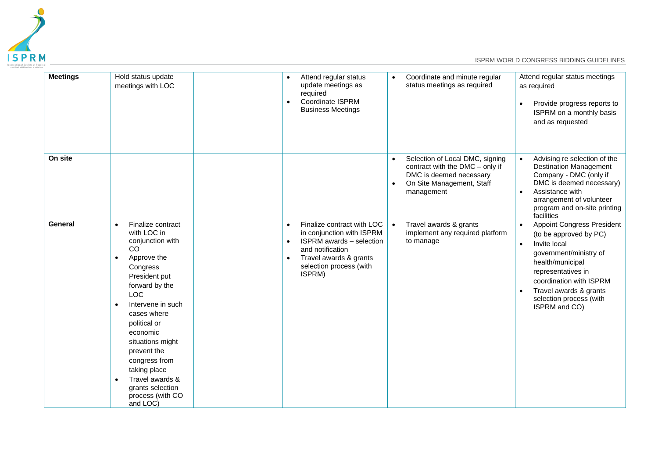

| <b>Meetings</b> | Hold status update<br>meetings with LOC                                                                                                                                                                                                                                                                                                                                                               | $\bullet$<br>$\bullet$              | Attend regular status<br>update meetings as<br>required<br>Coordinate ISPRM<br><b>Business Meetings</b>                                                                       | $\bullet$              | Coordinate and minute regular<br>status meetings as required                                                                             | $\bullet$              | Attend regular status meetings<br>as required<br>Provide progress reports to<br>ISPRM on a monthly basis<br>and as requested                                                                                                                     |
|-----------------|-------------------------------------------------------------------------------------------------------------------------------------------------------------------------------------------------------------------------------------------------------------------------------------------------------------------------------------------------------------------------------------------------------|-------------------------------------|-------------------------------------------------------------------------------------------------------------------------------------------------------------------------------|------------------------|------------------------------------------------------------------------------------------------------------------------------------------|------------------------|--------------------------------------------------------------------------------------------------------------------------------------------------------------------------------------------------------------------------------------------------|
| On site         |                                                                                                                                                                                                                                                                                                                                                                                                       |                                     |                                                                                                                                                                               | $\bullet$<br>$\bullet$ | Selection of Local DMC, signing<br>contract with the DMC - only if<br>DMC is deemed necessary<br>On Site Management, Staff<br>management | $\bullet$<br>$\bullet$ | Advising re selection of the<br><b>Destination Management</b><br>Company - DMC (only if<br>DMC is deemed necessary)<br>Assistance with<br>arrangement of volunteer<br>program and on-site printing<br>facilities                                 |
| General         | Finalize contract<br>$\bullet$<br>with LOC in<br>conjunction with<br>CO<br>Approve the<br>$\bullet$<br>Congress<br>President put<br>forward by the<br><b>LOC</b><br>Intervene in such<br>$\bullet$<br>cases where<br>political or<br>economic<br>situations might<br>prevent the<br>congress from<br>taking place<br>Travel awards &<br>$\bullet$<br>grants selection<br>process (with CO<br>and LOC) | $\bullet$<br>$\bullet$<br>$\bullet$ | Finalize contract with LOC<br>in conjunction with ISPRM<br><b>ISPRM</b> awards - selection<br>and notification<br>Travel awards & grants<br>selection process (with<br>ISPRM) | $\bullet$              | Travel awards & grants<br>implement any required platform<br>to manage                                                                   | $\bullet$              | <b>Appoint Congress President</b><br>(to be approved by PC)<br>Invite local<br>government/ministry of<br>health/municipal<br>representatives in<br>coordination with ISPRM<br>Travel awards & grants<br>selection process (with<br>ISPRM and CO) |